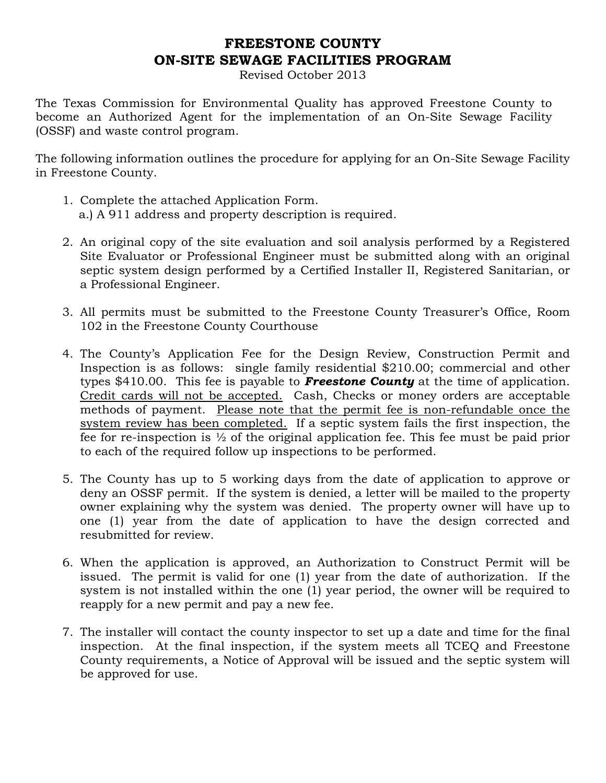# FREESTONE COUNTY ON-SITE SEWAGE FACILITIES PROGRAM

Revised October 2013

The Texas Commission for Environmental Quality has approved Freestone County to become an Authorized Agent for the implementation of an On-Site Sewage Facility (OSSF) and waste control program.

The following information outlines the procedure for applying for an On-Site Sewage Facility in Freestone County.

- 1. Complete the attached Application Form. a.) A 911 address and property description is required.
- 2. An original copy of the site evaluation and soil analysis performed by a Registered Site Evaluator or Professional Engineer must be submitted along with an original septic system design performed by a Certified Installer II, Registered Sanitarian, or a Professional Engineer.
- 3. All permits must be submitted to the Freestone County Treasurer's Office, Room 102 in the Freestone County Courthouse
- 4. The County's Application Fee for the Design Review, Construction Permit and Inspection is as follows: single family residential \$210.00; commercial and other types \$410.00. This fee is payable to **Freestone County** at the time of application. Credit cards will not be accepted. Cash, Checks or money orders are acceptable methods of payment. Please note that the permit fee is non-refundable once the system review has been completed. If a septic system fails the first inspection, the fee for re-inspection is ½ of the original application fee. This fee must be paid prior to each of the required follow up inspections to be performed.
- 5. The County has up to 5 working days from the date of application to approve or deny an OSSF permit. If the system is denied, a letter will be mailed to the property owner explaining why the system was denied. The property owner will have up to one (1) year from the date of application to have the design corrected and resubmitted for review.
- 6. When the application is approved, an Authorization to Construct Permit will be issued. The permit is valid for one (1) year from the date of authorization. If the system is not installed within the one (1) year period, the owner will be required to reapply for a new permit and pay a new fee.
- 7. The installer will contact the county inspector to set up a date and time for the final inspection. At the final inspection, if the system meets all TCEQ and Freestone County requirements, a Notice of Approval will be issued and the septic system will be approved for use.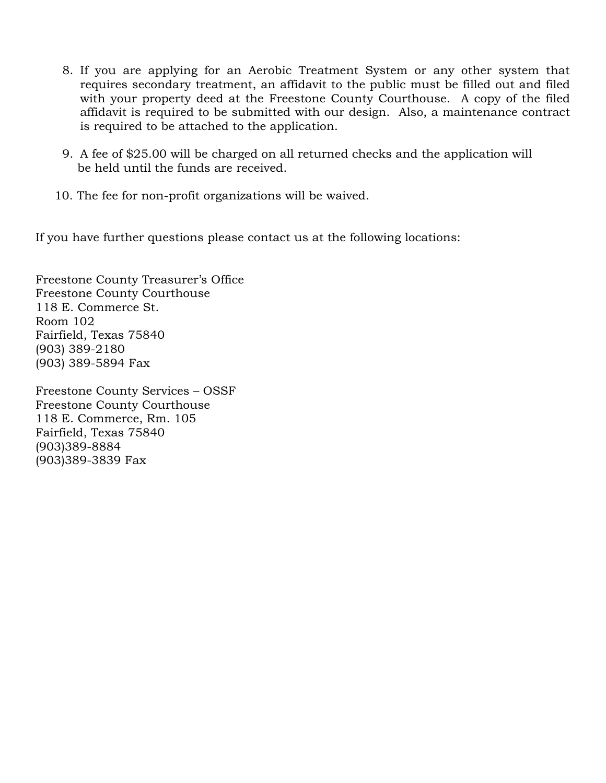- 8. If you are applying for an Aerobic Treatment System or any other system that requires secondary treatment, an affidavit to the public must be filled out and filed with your property deed at the Freestone County Courthouse. A copy of the filed affidavit is required to be submitted with our design. Also, a maintenance contract is required to be attached to the application.
- 9. A fee of \$25.00 will be charged on all returned checks and the application will be held until the funds are received.
- 10. The fee for non-profit organizations will be waived.

If you have further questions please contact us at the following locations:

Freestone County Treasurer's Office Freestone County Courthouse 118 E. Commerce St. Room 102 Fairfield, Texas 75840 (903) 389-2180 (903) 389-5894 Fax

Freestone County Services – OSSF Freestone County Courthouse 118 E. Commerce, Rm. 105 Fairfield, Texas 75840 (903)389-8884 (903)389-3839 Fax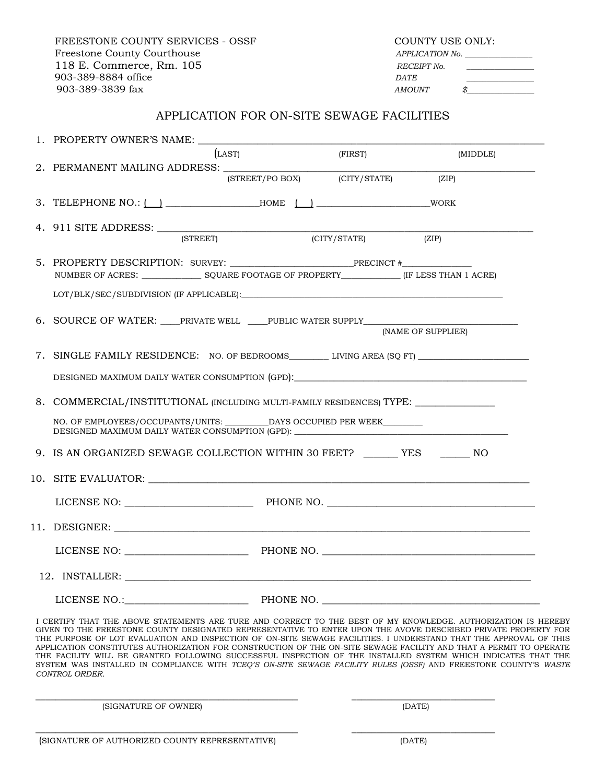FREESTONE COUNTY SERVICES - OSSF COUNTY USE ONLY: Freestone County Courthouse APPLICATION No. 118 E. Commerce, Rm. 105 and the second of the RECEIPT No. 903-389-8884 office DATE 903-389-3839 fax AMOUNT \$

### APPLICATION FOR ON-SITE SEWAGE FACILITIES

| (LAST)<br>(FIRST)<br>(MIDDLE)                                                                                                                                                                                                                                                                                                                                                                               |
|-------------------------------------------------------------------------------------------------------------------------------------------------------------------------------------------------------------------------------------------------------------------------------------------------------------------------------------------------------------------------------------------------------------|
| (STREET/PO BOX) (CITY/STATE)<br>(ZIP)                                                                                                                                                                                                                                                                                                                                                                       |
| 3. TELEPHONE NO.: $\begin{array}{c} \begin{array}{c} \end{array}$ $\end{array}$ $\begin{array}{c}$ $\end{array}$ $\begin{array}{c}$ $\end{array}$ $\begin{array}{c}$ $\end{array}$ $\begin{array}{c}$ $\end{array}$ $\begin{array}{c}$ $\end{array}$ $\begin{array}{c}$ $\end{array}$ $\begin{array}{c}$ $\end{array}$ $\begin{array}{c}$ $\end{array}$ $\begin{array}{c}$ $\end{array}$ $\begin{array}{c}$ |
| 4. 911 SITE ADDRESS: <u>(STREET)</u> (CITY/STAT<br>(CITY/STATE)<br>(ZIP)                                                                                                                                                                                                                                                                                                                                    |
| NUMBER OF ACRES: SQUARE FOOTAGE OF PROPERTY (IF LESS THAN 1 ACRE)                                                                                                                                                                                                                                                                                                                                           |
|                                                                                                                                                                                                                                                                                                                                                                                                             |
| 6. SOURCE OF WATER: ____PRIVATE WELL ____PUBLIC WATER SUPPLY_____________<br>(NAME OF SUPPLIER)                                                                                                                                                                                                                                                                                                             |
| 7. SINGLE FAMILY RESIDENCE: NO. OF BEDROOMS LIVING AREA (SQ FT)                                                                                                                                                                                                                                                                                                                                             |
| DESIGNED MAXIMUM DAILY WATER CONSUMPTION (GPD):                                                                                                                                                                                                                                                                                                                                                             |
| 8. COMMERCIAL/INSTITUTIONAL (INCLUDING MULTI-FAMILY RESIDENCES) TYPE: ___________                                                                                                                                                                                                                                                                                                                           |
| NO. OF EMPLOYEES/OCCUPANTS/UNITS: DAYS OCCUPIED PER WEEK<br>DESIGNED MAXIMUM DAILY WATER CONSUMPTION (GPD): NAMEL AND ACCOUNT OF A SERIES OF A SERIES OF A SERIES OF A SERIES OF A SERIES OF A SERIES OF A SERIES OF A SERIES OF A SERIES OF A SERIES OF A SERIES OF A SERIES OF A SERIES                                                                                                                   |
| 9. IS AN ORGANIZED SEWAGE COLLECTION WITHIN 30 FEET? _______ YES _______ NO                                                                                                                                                                                                                                                                                                                                 |
|                                                                                                                                                                                                                                                                                                                                                                                                             |
|                                                                                                                                                                                                                                                                                                                                                                                                             |
|                                                                                                                                                                                                                                                                                                                                                                                                             |
| LICENSE NO: PHONE NO.                                                                                                                                                                                                                                                                                                                                                                                       |
|                                                                                                                                                                                                                                                                                                                                                                                                             |
| LICENSE NO.:<br>PHONE NO.                                                                                                                                                                                                                                                                                                                                                                                   |

 I CERTIFY THAT THE ABOVE STATEMENTS ARE TURE AND CORRECT TO THE BEST OF MY KNOWLEDGE. AUTHORIZATION IS HEREBY GIVEN TO THE FREESTONE COUNTY DESIGNATED REPRESENTATIVE TO ENTER UPON THE AVOVE DESCRIBED PRIVATE PROPERTY FOR THE PURPOSE OF LOT EVALUATION AND INSPECTION OF ON-SITE SEWAGE FACILITIES. I UNDERSTAND THAT THE APPROVAL OF THIS APPLICATION CONSTITUTES AUTHORIZATION FOR CONSTRUCTION OF THE ON-SITE SEWAGE FACILITY AND THAT A PERMIT TO OPERATE THE FACILITY WILL BE GRANTED FOLLOWING SUCCESSFUL INSPECTION OF THE INSTALLED SYSTEM WHICH INDICATES THAT THE SYSTEM WAS INSTALLED IN COMPLIANCE WITH TCEQ'S ON-SITE SEWAGE FACILITY RULES (OSSF) AND FREESTONE COUNTY'S WASTE CONTROL ORDER.

\_\_\_\_\_\_\_\_\_\_\_\_\_\_\_\_\_\_\_\_\_\_\_\_\_\_\_\_\_\_\_\_\_\_\_\_\_\_\_\_\_\_\_\_\_\_\_\_\_\_\_\_\_ \_\_\_\_\_\_\_\_\_\_\_\_\_\_\_\_\_\_\_\_\_\_\_\_\_\_\_\_\_

\_\_\_\_\_\_\_\_\_\_\_\_\_\_\_\_\_\_\_\_\_\_\_\_\_\_\_\_\_\_\_\_\_\_\_\_\_\_\_\_\_\_\_\_\_\_\_\_\_\_\_\_\_ \_\_\_\_\_\_\_\_\_\_\_\_\_\_\_\_\_\_\_\_\_\_\_\_\_\_\_\_\_ (SIGNATURE OF OWNER) (DATE)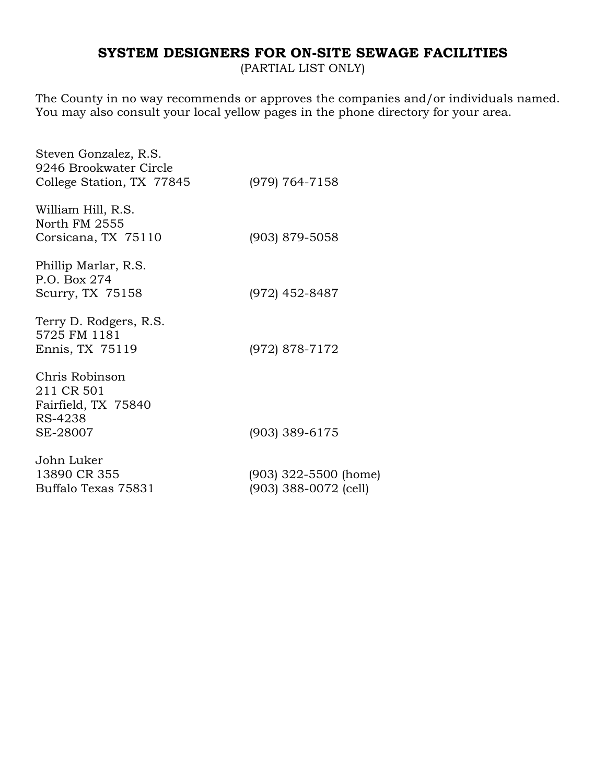# SYSTEM DESIGNERS FOR ON-SITE SEWAGE FACILITIES

(PARTIAL LIST ONLY)

The County in no way recommends or approves the companies and/or individuals named. You may also consult your local yellow pages in the phone directory for your area.

| Steven Gonzalez, R.S.<br>9246 Brookwater Circle                |                                                  |
|----------------------------------------------------------------|--------------------------------------------------|
| College Station, TX 77845                                      | (979) 764-7158                                   |
| William Hill, R.S.<br>North FM 2555                            |                                                  |
| Corsicana, TX 75110                                            | (903) 879-5058                                   |
| Phillip Marlar, R.S.<br>P.O. Box 274                           |                                                  |
| Scurry, TX 75158                                               | (972) 452-8487                                   |
| Terry D. Rodgers, R.S.<br>5725 FM 1181                         |                                                  |
| Ennis, TX 75119                                                | (972) 878-7172                                   |
| Chris Robinson<br>211 CR 501<br>Fairfield, TX 75840<br>RS-4238 |                                                  |
| SE-28007                                                       | $(903)$ 389-6175                                 |
| John Luker                                                     |                                                  |
| 13890 CR 355<br>Buffalo Texas 75831                            | $(903)$ 322-5500 (home)<br>(903) 388-0072 (cell) |
|                                                                |                                                  |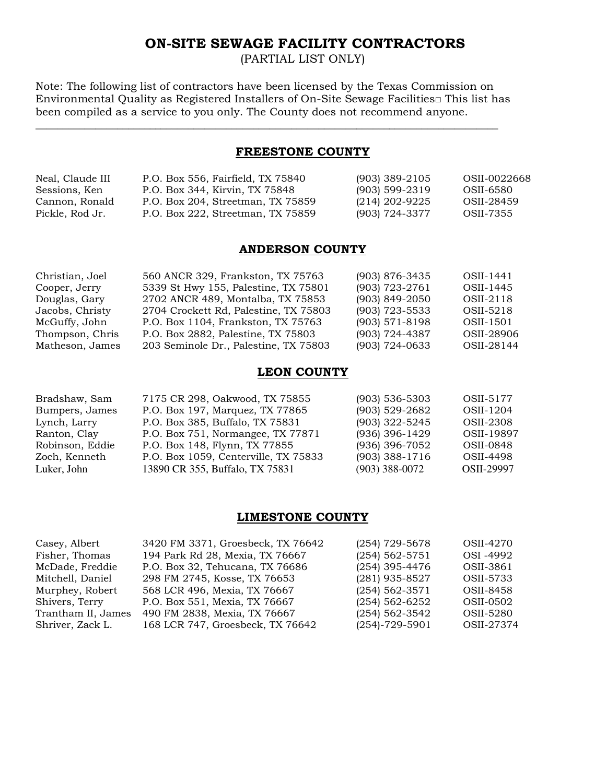## ON-SITE SEWAGE FACILITY CONTRACTORS

(PARTIAL LIST ONLY)

Note: The following list of contractors have been licensed by the Texas Commission on Environmental Quality as Registered Installers of On-Site Sewage Facilities□ This list has been compiled as a service to you only. The County does not recommend anyone.

\_\_\_\_\_\_\_\_\_\_\_\_\_\_\_\_\_\_\_\_\_\_\_\_\_\_\_\_\_\_\_\_\_\_\_\_\_\_\_\_\_\_\_\_\_\_\_\_\_\_\_\_\_\_\_\_\_\_\_\_\_\_\_\_\_\_\_\_\_\_\_\_\_\_\_\_\_\_\_\_\_\_\_\_\_

#### FREESTONE COUNTY

| Neal, Claude III | P.O. Box 556, Fairfield, TX 75840 | $(903)$ 389-2105 | OSII-0022668 |
|------------------|-----------------------------------|------------------|--------------|
| Sessions, Ken    | P.O. Box 344, Kirvin, TX 75848    | $(903)$ 599-2319 | OSII-6580    |
| Cannon, Ronald   | P.O. Box 204, Streetman, TX 75859 | (214) 202-9225   | OSII-28459   |
| Pickle, Rod Jr.  | P.O. Box 222, Streetman, TX 75859 | (903) 724-3377   | OSII-7355    |

#### ANDERSON COUNTY

| Christian, Joel | 560 ANCR 329, Frankston, TX 75763     | (903) 876-3435     | OSII-1441  |
|-----------------|---------------------------------------|--------------------|------------|
| Cooper, Jerry   | 5339 St Hwy 155, Palestine, TX 75801  | (903) 723-2761     | OSII-1445  |
| Douglas, Gary   | 2702 ANCR 489, Montalba, TX 75853     | $(903)$ 849-2050   | OSII-2118  |
| Jacobs, Christy | 2704 Crockett Rd, Palestine, TX 75803 | $(903)$ 723-5533   | OSII-5218  |
| McGuffy, John   | P.O. Box 1104, Frankston, TX 75763    | $(903) 571 - 8198$ | OSII-1501  |
| Thompson, Chris | P.O. Box 2882, Palestine, TX 75803    | (903) 724-4387     | OSII-28906 |
| Matheson, James | 203 Seminole Dr., Palestine, TX 75803 | $(903) 724 - 0633$ | OSII-28144 |

#### LEON COUNTY

| 7175 CR 298, Oakwood, TX 75855       | $(903)$ 536-5303 | OSII-5177  |
|--------------------------------------|------------------|------------|
| P.O. Box 197, Marquez, TX 77865      | (903) 529-2682   | OSII-1204  |
| P.O. Box 385, Buffalo, TX 75831      | (903) 322-5245   | OSII-2308  |
| P.O. Box 751, Normangee, TX 77871    | (936) 396-1429   | OSII-19897 |
| P.O. Box 148, Flynn, TX 77855        | (936) 396-7052   | OSII-0848  |
| P.O. Box 1059, Centerville, TX 75833 | (903) 388-1716   | OSII-4498  |
| 13890 CR 355, Buffalo, TX 75831      | $(903)$ 388-0072 | OSII-29997 |
|                                      |                  |            |

### LIMESTONE COUNTY

| Casey, Albert      | 3420 FM 3371, Groesbeck, TX 76642 | $(254)$ 729-5678     | OSII-4270  |
|--------------------|-----------------------------------|----------------------|------------|
| Fisher, Thomas     | 194 Park Rd 28, Mexia, TX 76667   | $(254) 562 - 5751$   | OSI -4992  |
| McDade, Freddie    | P.O. Box 32, Tehucana, TX 76686   | $(254)$ 395-4476     | OSII-3861  |
| Mitchell, Daniel   | 298 FM 2745, Kosse, TX 76653      | (281) 935-8527       | OSII-5733  |
| Murphey, Robert    | 568 LCR 496, Mexia, TX 76667      | $(254)$ 562-3571     | OSII-8458  |
| Shivers, Terry     | P.O. Box 551, Mexia, TX 76667     | $(254) 562 - 6252$   | OSII-0502  |
| Trantham II, James | 490 FM 2838, Mexia, TX 76667      | $(254) 562 - 3542$   | OSII-5280  |
| Shriver, Zack L.   | 168 LCR 747, Groesbeck, TX 76642  | $(254) - 729 - 5901$ | OSII-27374 |